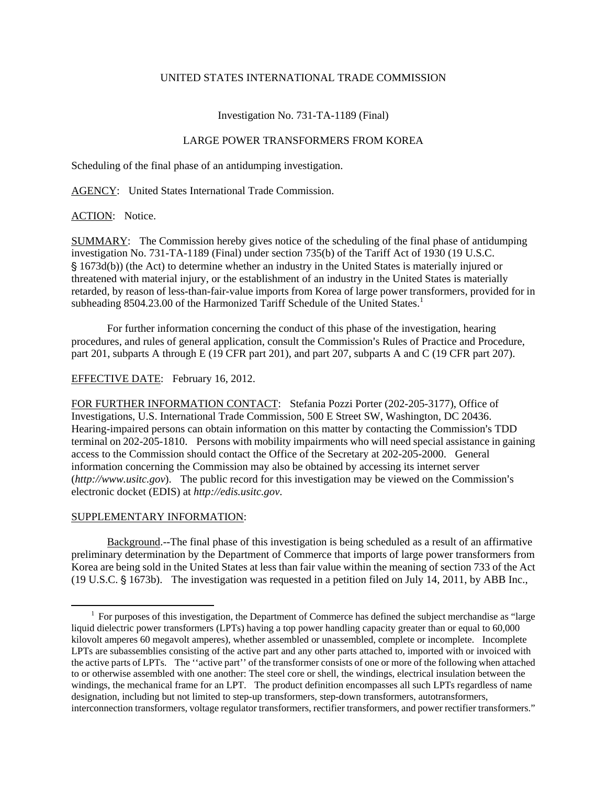## UNITED STATES INTERNATIONAL TRADE COMMISSION

Investigation No. 731-TA-1189 (Final)

## LARGE POWER TRANSFORMERS FROM KOREA

Scheduling of the final phase of an antidumping investigation.

AGENCY: United States International Trade Commission.

ACTION: Notice.

SUMMARY: The Commission hereby gives notice of the scheduling of the final phase of antidumping investigation No. 731-TA-1189 (Final) under section 735(b) of the Tariff Act of 1930 (19 U.S.C. ' 1673d(b)) (the Act) to determine whether an industry in the United States is materially injured or threatened with material injury, or the establishment of an industry in the United States is materially retarded, by reason of less-than-fair-value imports from Korea of large power transformers, provided for in subheading 8504.23.00 of the Harmonized Tariff Schedule of the United States.<sup>1</sup>

For further information concerning the conduct of this phase of the investigation, hearing procedures, and rules of general application, consult the Commission's Rules of Practice and Procedure, part 201, subparts A through E (19 CFR part 201), and part 207, subparts A and C (19 CFR part 207).

## EFFECTIVE DATE: February 16, 2012.

FOR FURTHER INFORMATION CONTACT: Stefania Pozzi Porter (202-205-3177), Office of Investigations, U.S. International Trade Commission, 500 E Street SW, Washington, DC 20436. Hearing-impaired persons can obtain information on this matter by contacting the Commission's TDD terminal on 202-205-1810. Persons with mobility impairments who will need special assistance in gaining access to the Commission should contact the Office of the Secretary at 202-205-2000. General information concerning the Commission may also be obtained by accessing its internet server (http://www.usitc.gov). The public record for this investigation may be viewed on the Commission's electronic docket (EDIS) at *http://edis.usitc.gov*.

## SUPPLEMENTARY INFORMATION:

 $\overline{a}$ 

Background.--The final phase of this investigation is being scheduled as a result of an affirmative preliminary determination by the Department of Commerce that imports of large power transformers from Korea are being sold in the United States at less than fair value within the meaning of section 733 of the Act  $(19 \text{ U.S.C.} \S 1673b)$ . The investigation was requested in a petition filed on July 14, 2011, by ABB Inc.,

<sup>&</sup>lt;sup>1</sup> For purposes of this investigation, the Department of Commerce has defined the subject merchandise as "large" liquid dielectric power transformers (LPTs) having a top power handling capacity greater than or equal to 60,000 kilovolt amperes 60 megavolt amperes), whether assembled or unassembled, complete or incomplete. Incomplete LPTs are subassemblies consisting of the active part and any other parts attached to, imported with or invoiced with the active parts of LPTs. The ''active part'' of the transformer consists of one or more of the following when attached to or otherwise assembled with one another: The steel core or shell, the windings, electrical insulation between the windings, the mechanical frame for an LPT. The product definition encompasses all such LPTs regardless of name designation, including but not limited to step-up transformers, step-down transformers, autotransformers, interconnection transformers, voltage regulator transformers, rectifier transformers, and power rectifier transformers."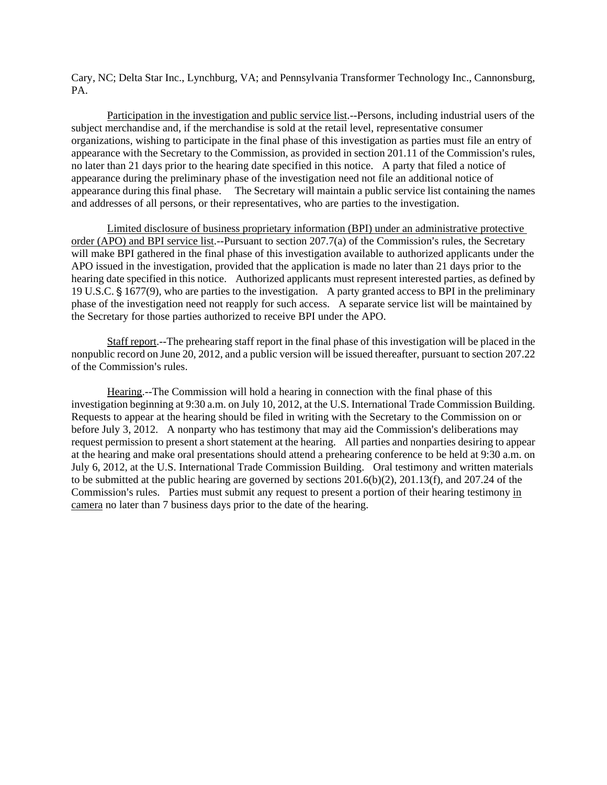Cary, NC; Delta Star Inc., Lynchburg, VA; and Pennsylvania Transformer Technology Inc., Cannonsburg, PA.

Participation in the investigation and public service list.--Persons, including industrial users of the subject merchandise and, if the merchandise is sold at the retail level, representative consumer organizations, wishing to participate in the final phase of this investigation as parties must file an entry of appearance with the Secretary to the Commission, as provided in section  $201.11$  of the Commission's rules, no later than 21 days prior to the hearing date specified in this notice. A party that filed a notice of appearance during the preliminary phase of the investigation need not file an additional notice of appearance during this final phase. The Secretary will maintain a public service list containing the names and addresses of all persons, or their representatives, who are parties to the investigation.

Limited disclosure of business proprietary information (BPI) under an administrative protective order (APO) and BPI service list.--Pursuant to section  $207.7(a)$  of the Commission's rules, the Secretary will make BPI gathered in the final phase of this investigation available to authorized applicants under the APO issued in the investigation, provided that the application is made no later than 21 days prior to the hearing date specified in this notice. Authorized applicants must represent interested parties, as defined by 19 U.S.C. § 1677(9), who are parties to the investigation. A party granted access to BPI in the preliminary phase of the investigation need not reapply for such access. A separate service list will be maintained by the Secretary for those parties authorized to receive BPI under the APO.

Staff report.--The prehearing staff report in the final phase of this investigation will be placed in the nonpublic record on June 20, 2012, and a public version will be issued thereafter, pursuant to section 207.22 of the Commission's rules.

Hearing.--The Commission will hold a hearing in connection with the final phase of this investigation beginning at 9:30 a.m. on July 10, 2012, at the U.S. International Trade Commission Building. Requests to appear at the hearing should be filed in writing with the Secretary to the Commission on or before July 3, 2012. A nonparty who has testimony that may aid the Commission's deliberations may request permission to present a short statement at the hearing. All parties and nonparties desiring to appear at the hearing and make oral presentations should attend a prehearing conference to be held at 9:30 a.m. on July 6, 2012, at the U.S. International Trade Commission Building. Oral testimony and written materials to be submitted at the public hearing are governed by sections 201.6(b)(2), 201.13(f), and 207.24 of the Commission's rules. Parties must submit any request to present a portion of their hearing testimony in camera no later than 7 business days prior to the date of the hearing.